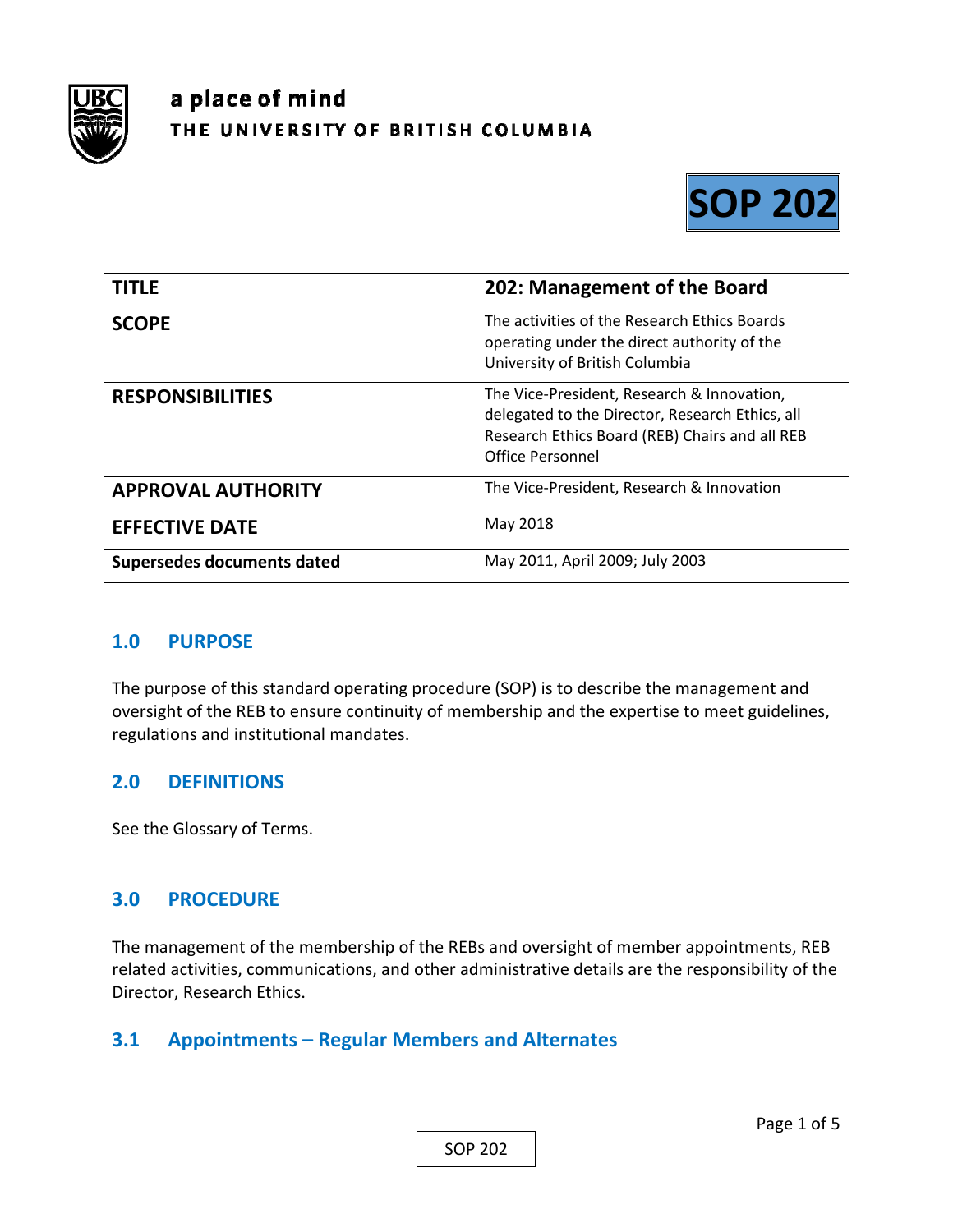

# a place of mind THE UNIVERSITY OF BRITISH COLUMBIA



| <b>TITLE</b>               | 202: Management of the Board                                                                                                                                        |
|----------------------------|---------------------------------------------------------------------------------------------------------------------------------------------------------------------|
| <b>SCOPE</b>               | The activities of the Research Ethics Boards<br>operating under the direct authority of the<br>University of British Columbia                                       |
| <b>RESPONSIBILITIES</b>    | The Vice-President, Research & Innovation,<br>delegated to the Director, Research Ethics, all<br>Research Ethics Board (REB) Chairs and all REB<br>Office Personnel |
| <b>APPROVAL AUTHORITY</b>  | The Vice-President, Research & Innovation                                                                                                                           |
| <b>EFFECTIVE DATE</b>      | May 2018                                                                                                                                                            |
| Supersedes documents dated | May 2011, April 2009; July 2003                                                                                                                                     |

#### **1.0 PURPOSE**

The purpose of this standard operating procedure (SOP) is to describe the management and oversight of the REB to ensure continuity of membership and the expertise to meet guidelines, regulations and institutional mandates.

#### **2.0 DEFINITIONS**

See the Glossary of Terms.

#### **3.0 PROCEDURE**

The management of the membership of the REBs and oversight of member appointments, REB related activities, communications, and other administrative details are the responsibility of the Director, Research Ethics.

# **3.1 Appointments – Regular Members and Alternates**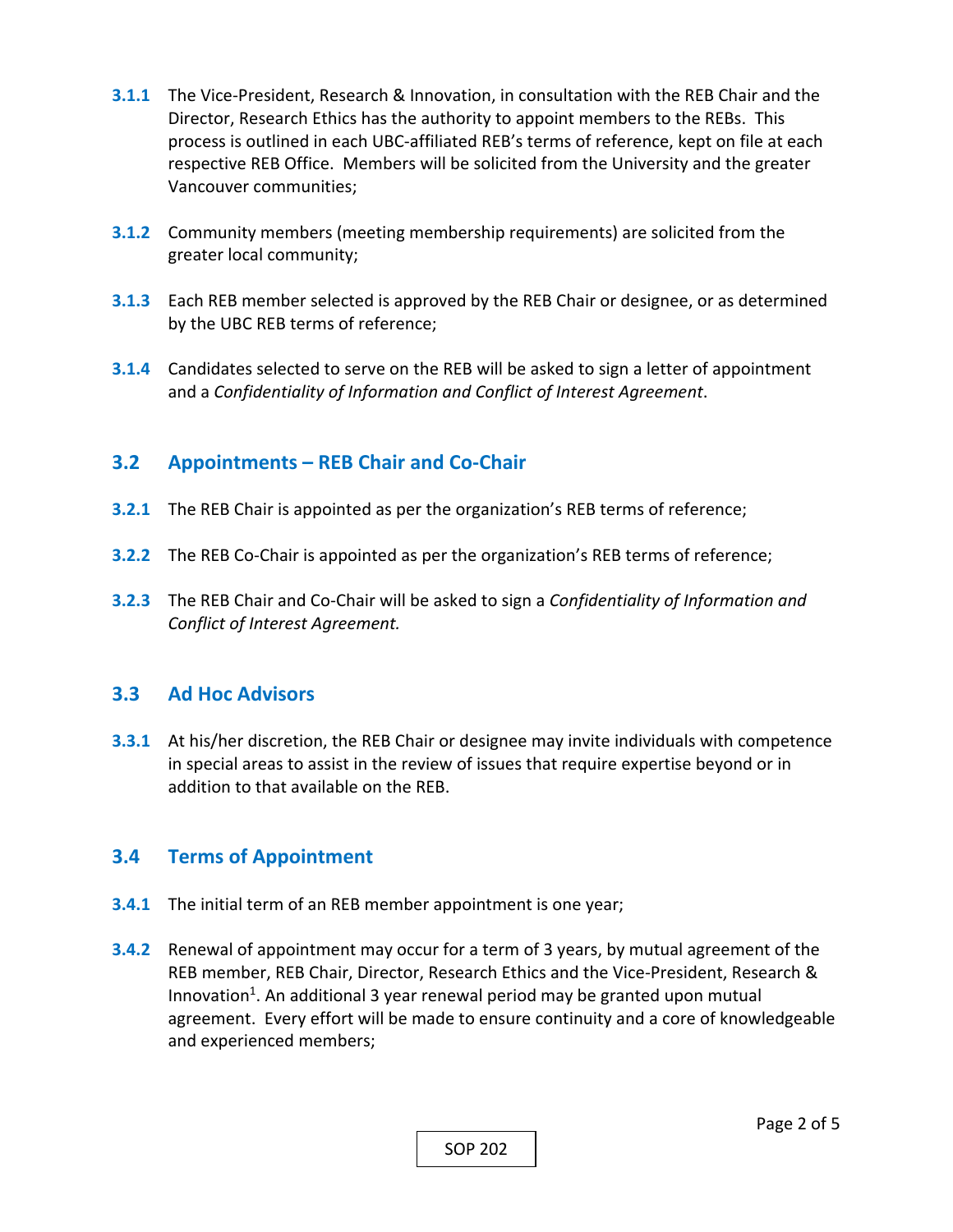- **3.1.1** The Vice‐President, Research & Innovation, in consultation with the REB Chair and the Director, Research Ethics has the authority to appoint members to the REBs. This process is outlined in each UBC‐affiliated REB's terms of reference, kept on file at each respective REB Office. Members will be solicited from the University and the greater Vancouver communities;
- **3.1.2** Community members (meeting membership requirements) are solicited from the greater local community;
- **3.1.3** Each REB member selected is approved by the REB Chair or designee, or as determined by the UBC REB terms of reference;
- **3.1.4** Candidates selected to serve on the REB will be asked to sign a letter of appointment and a *Confidentiality of Information and Conflict of Interest Agreement*.

# **3.2 Appointments – REB Chair and Co‐Chair**

- **3.2.1**  The REB Chair is appointed as per the organization's REB terms of reference;
- **3.2.2** The REB Co-Chair is appointed as per the organization's REB terms of reference;
- **3.2.3**  The REB Chair and Co‐Chair will be asked to sign a *Confidentiality of Information and Conflict of Interest Agreement.*

# **3.3 Ad Hoc Advisors**

**3.3.1**  At his/her discretion, the REB Chair or designee may invite individuals with competence in special areas to assist in the review of issues that require expertise beyond or in addition to that available on the REB.

# **3.4 Terms of Appointment**

- **3.4.1**  The initial term of an REB member appointment is one year;
- **3.4.2**  Renewal of appointment may occur for a term of 3 years, by mutual agreement of the REB member, REB Chair, Director, Research Ethics and the Vice‐President, Research & Innovation<sup>1</sup>. An additional 3 year renewal period may be granted upon mutual agreement. Every effort will be made to ensure continuity and a core of knowledgeable and experienced members;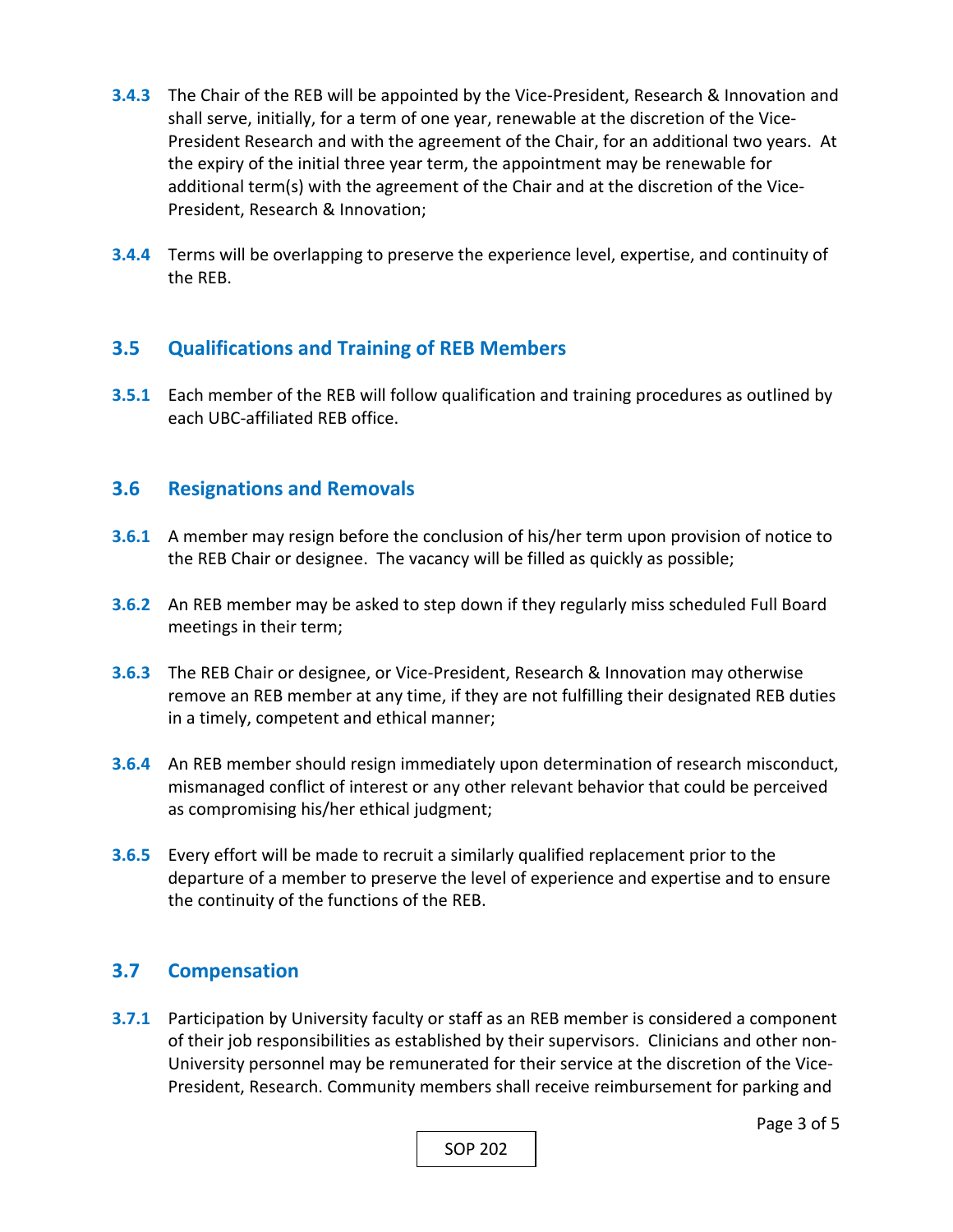- **3.4.3**  The Chair of the REB will be appointed by the Vice‐President, Research & Innovation and shall serve, initially, for a term of one year, renewable at the discretion of the Vice‐ President Research and with the agreement of the Chair, for an additional two years. At the expiry of the initial three year term, the appointment may be renewable for additional term(s) with the agreement of the Chair and at the discretion of the Vice‐ President, Research & Innovation;
- **3.4.4**  Terms will be overlapping to preserve the experience level, expertise, and continuity of the REB.

# **3.5 Qualifications and Training of REB Members**

**3.5.1**  Each member of the REB will follow qualification and training procedures as outlined by each UBC‐affiliated REB office.

### **3.6 Resignations and Removals**

- **3.6.1**  A member may resign before the conclusion of his/her term upon provision of notice to the REB Chair or designee. The vacancy will be filled as quickly as possible;
- **3.6.2**  An REB member may be asked to step down if they regularly miss scheduled Full Board meetings in their term;
- **3.6.3**  The REB Chair or designee, or Vice‐President, Research & Innovation may otherwise remove an REB member at any time, if they are not fulfilling their designated REB duties in a timely, competent and ethical manner;
- **3.6.4**  An REB member should resign immediately upon determination of research misconduct, mismanaged conflict of interest or any other relevant behavior that could be perceived as compromising his/her ethical judgment;
- **3.6.5**  Every effort will be made to recruit a similarly qualified replacement prior to the departure of a member to preserve the level of experience and expertise and to ensure the continuity of the functions of the REB.

# **3.7 Compensation**

**3.7.1**  Participation by University faculty or staff as an REB member is considered a component of their job responsibilities as established by their supervisors. Clinicians and other non‐ University personnel may be remunerated for their service at the discretion of the Vice‐ President, Research. Community members shall receive reimbursement for parking and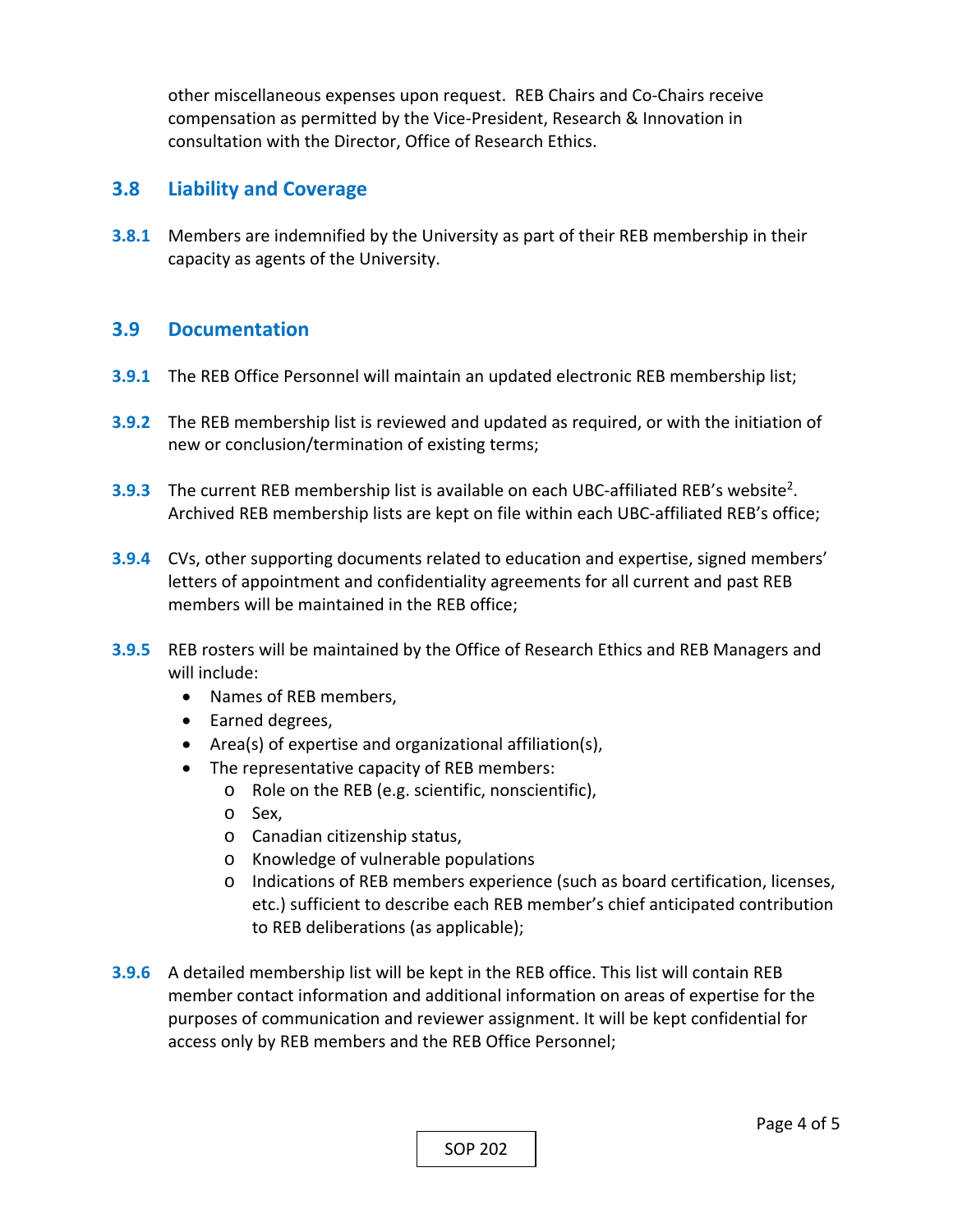other miscellaneous expenses upon request. REB Chairs and Co‐Chairs receive compensation as permitted by the Vice‐President, Research & Innovation in consultation with the Director, Office of Research Ethics.

### **3.8 Liability and Coverage**

**3.8.1**  Members are indemnified by the University as part of their REB membership in their capacity as agents of the University.

### **3.9 Documentation**

- **3.9.1**  The REB Office Personnel will maintain an updated electronic REB membership list;
- **3.9.2**  The REB membership list is reviewed and updated as required, or with the initiation of new or conclusion/termination of existing terms;
- **3.9.3** The current REB membership list is available on each UBC-affiliated REB's website<sup>2</sup>. Archived REB membership lists are kept on file within each UBC‐affiliated REB's office;
- **3.9.4**  CVs, other supporting documents related to education and expertise, signed members' letters of appointment and confidentiality agreements for all current and past REB members will be maintained in the REB office;
- **3.9.5**  REB rosters will be maintained by the Office of Research Ethics and REB Managers and will include:
	- Names of REB members,
	- Earned degrees,
	- Area(s) of expertise and organizational affiliation(s),
	- The representative capacity of REB members:
		- o Role on the REB (e.g. scientific, nonscientific),
		- o Sex,
		- o Canadian citizenship status,
		- o Knowledge of vulnerable populations
		- o Indications of REB members experience (such as board certification, licenses, etc.) sufficient to describe each REB member's chief anticipated contribution to REB deliberations (as applicable);
- **3.9.6**  A detailed membership list will be kept in the REB office. This list will contain REB member contact information and additional information on areas of expertise for the purposes of communication and reviewer assignment. It will be kept confidential for access only by REB members and the REB Office Personnel;